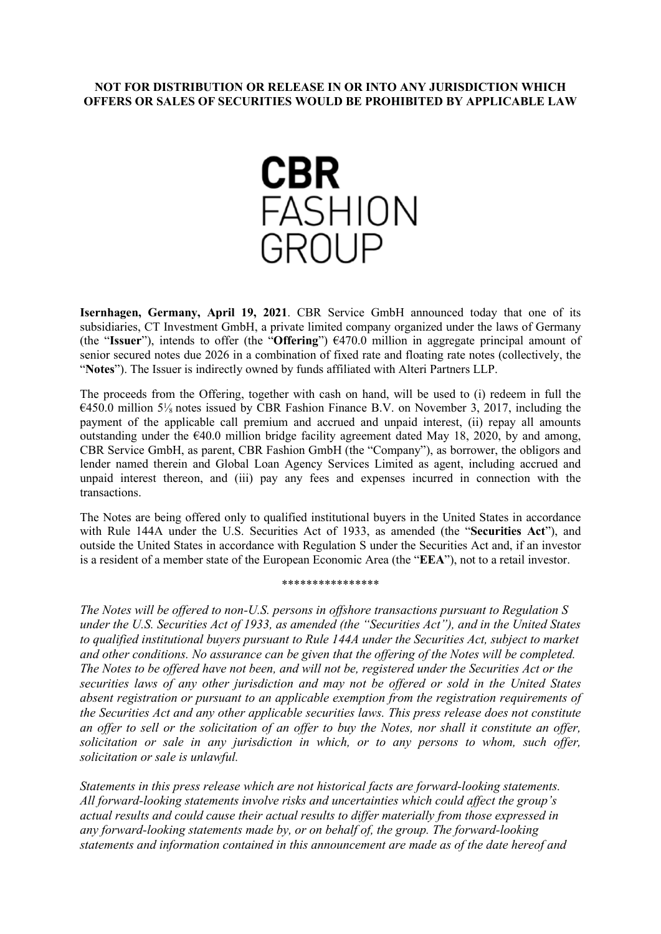## **NOT FOR DISTRIBUTION OR RELEASE IN OR INTO ANY JURISDICTION WHICH OFFERS OR SALES OF SECURITIES WOULD BE PROHIBITED BY APPLICABLE LAW**



**Isernhagen, Germany, April 19, 2021**. CBR Service GmbH announced today that one of its subsidiaries, CT Investment GmbH, a private limited company organized under the laws of Germany (the "**Issuer**"), intends to offer (the "**Offering**") €470.0 million in aggregate principal amount of senior secured notes due 2026 in a combination of fixed rate and floating rate notes (collectively, the "**Notes**"). The Issuer is indirectly owned by funds affiliated with Alteri Partners LLP.

The proceeds from the Offering, together with cash on hand, will be used to (i) redeem in full the  $6450.0$  million  $5\%$  notes issued by CBR Fashion Finance B.V. on November 3, 2017, including the payment of the applicable call premium and accrued and unpaid interest, (ii) repay all amounts outstanding under the  $\epsilon$ 40.0 million bridge facility agreement dated May 18, 2020, by and among, CBR Service GmbH, as parent, CBR Fashion GmbH (the "Company"), as borrower, the obligors and lender named therein and Global Loan Agency Services Limited as agent, including accrued and unpaid interest thereon, and (iii) pay any fees and expenses incurred in connection with the transactions.

The Notes are being offered only to qualified institutional buyers in the United States in accordance with Rule 144A under the U.S. Securities Act of 1933, as amended (the "**Securities Act**"), and outside the United States in accordance with Regulation S under the Securities Act and, if an investor is a resident of a member state of the European Economic Area (the "**EEA**"), not to a retail investor.

## \*\*\*\*\*\*\*\*\*\*\*\*\*\*\*\*

*The Notes will be offered to non-U.S. persons in offshore transactions pursuant to Regulation S under the U.S. Securities Act of 1933, as amended (the "Securities Act"), and in the United States to qualified institutional buyers pursuant to Rule 144A under the Securities Act, subject to market and other conditions. No assurance can be given that the offering of the Notes will be completed. The Notes to be offered have not been, and will not be, registered under the Securities Act or the securities laws of any other jurisdiction and may not be offered or sold in the United States absent registration or pursuant to an applicable exemption from the registration requirements of the Securities Act and any other applicable securities laws. This press release does not constitute an offer to sell or the solicitation of an offer to buy the Notes, nor shall it constitute an offer, solicitation or sale in any jurisdiction in which, or to any persons to whom, such offer, solicitation or sale is unlawful.*

*Statements in this press release which are not historical facts are forward-looking statements. All forward-looking statements involve risks and uncertainties which could affect the group's actual results and could cause their actual results to differ materially from those expressed in any forward-looking statements made by, or on behalf of, the group. The forward-looking statements and information contained in this announcement are made as of the date hereof and*